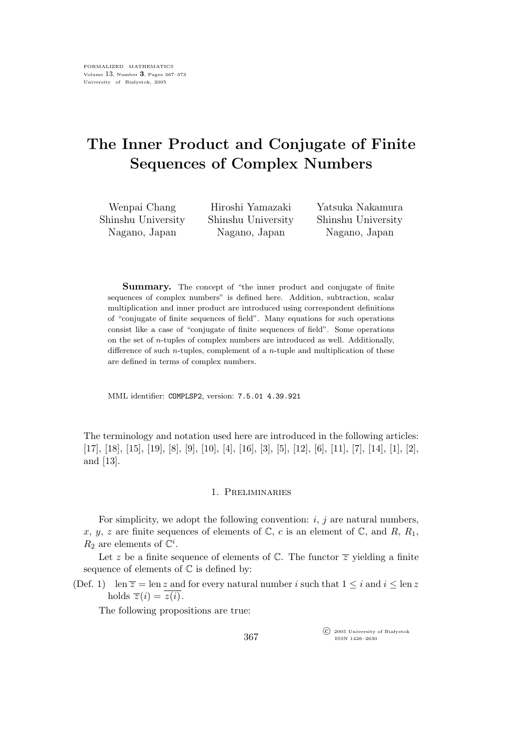# The Inner Product and Conjugate of Finite Sequences of Complex Numbers

Wenpai Chang Shinshu University Nagano, Japan

Hiroshi Yamazaki Shinshu University Nagano, Japan

Yatsuka Nakamura Shinshu University Nagano, Japan

Summary. The concept of "the inner product and conjugate of finite sequences of complex numbers" is defined here. Addition, subtraction, scalar multiplication and inner product are introduced using correspondent definitions of "conjugate of finite sequences of field". Many equations for such operations consist like a case of "conjugate of finite sequences of field". Some operations on the set of *n*-tuples of complex numbers are introduced as well. Additionally, difference of such  $n$ -tuples, complement of a  $n$ -tuple and multiplication of these are defined in terms of complex numbers.

MML identifier: COMPLSP2, version: 7.5.01 4.39.921

The terminology and notation used here are introduced in the following articles: [17], [18], [15], [19], [8], [9], [10], [4], [16], [3], [5], [12], [6], [11], [7], [14], [1], [2], and [13].

# 1. Preliminaries

For simplicity, we adopt the following convention:  $i, j$  are natural numbers, x, y, z are finite sequences of elements of  $\mathbb{C}$ , c is an element of  $\mathbb{C}$ , and  $R$ ,  $R_1$ ,  $R_2$  are elements of  $\mathbb{C}^i$ .

Let z be a finite sequence of elements of  $\mathbb C$ . The functor  $\overline{z}$  yielding a finite sequence of elements of  $\mathbb C$  is defined by:

(Def. 1) len  $\overline{z} = \text{len } z$  and for every natural number i such that  $1 \leq i$  and  $i \leq \text{len } z$ holds  $\overline{z}(i) = z(i)$ .

The following propositions are true:

 $\widehat{\mathbb{C}}$  2005 University of Białystok ISSN 1426–2630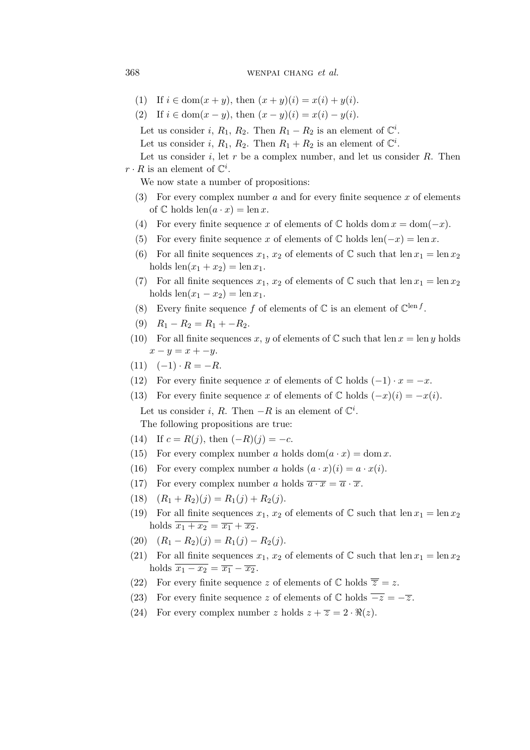## 368 wenpal change et al.

- (1) If  $i \in \text{dom}(x+y)$ , then  $(x+y)(i) = x(i) + y(i)$ .
- (2) If  $i \in \text{dom}(x y)$ , then  $(x y)(i) = x(i) y(i)$ .

Let us consider i,  $R_1$ ,  $R_2$ . Then  $R_1 - R_2$  is an element of  $\mathbb{C}^i$ .

Let us consider i,  $R_1$ ,  $R_2$ . Then  $R_1 + R_2$  is an element of  $\mathbb{C}^i$ .

Let us consider i, let r be a complex number, and let us consider  $R$ . Then  $r \cdot R$  is an element of  $\mathbb{C}^i$ .

We now state a number of propositions:

- (3) For every complex number a and for every finite sequence x of elements of  $\mathbb C$  holds  $\operatorname{len}(a \cdot x) = \operatorname{len} x$ .
- (4) For every finite sequence x of elements of  $\mathbb C$  holds dom  $x = \text{dom}(-x)$ .
- (5) For every finite sequence x of elements of  $\mathbb C$  holds len $(-x) = \text{len } x$ .
- (6) For all finite sequences  $x_1, x_2$  of elements of C such that  $\text{len } x_1 = \text{len } x_2$ holds  $len(x_1 + x_2) = len x_1$ .
- (7) For all finite sequences  $x_1, x_2$  of elements of  $\mathbb C$  such that len  $x_1 = \text{len } x_2$ holds  $len(x_1 - x_2) = len x_1$ .
- (8) Every finite sequence f of elements of  $\mathbb C$  is an element of  $\mathbb C^{\text{len }f}$ .
- (9)  $R_1 R_2 = R_1 + -R_2$ .
- (10) For all finite sequences x, y of elements of  $\mathbb C$  such that len  $x = \text{len } y$  holds  $x - y = x - y$ .
- $(11) \quad (-1) \cdot R = -R.$
- (12) For every finite sequence x of elements of  $\mathbb C$  holds  $(-1) \cdot x = -x$ .
- (13) For every finite sequence x of elements of  $\mathbb C$  holds  $(-x)(i) = -x(i)$ . Let us consider *i*, R. Then  $-R$  is an element of  $\mathbb{C}^i$ . The following propositions are true:
- (14) If  $c = R(j)$ , then  $(-R)(j) = -c$ .
- (15) For every complex number a holds  $dom(a \cdot x) = dom x$ .
- (16) For every complex number a holds  $(a \cdot x)(i) = a \cdot x(i)$ .
- (17) For every complex number a holds  $\overline{a \cdot x} = \overline{a} \cdot \overline{x}$ .
- (18)  $(R_1 + R_2)(j) = R_1(j) + R_2(j).$
- (19) For all finite sequences  $x_1, x_2$  of elements of C such that len  $x_1 = \text{len } x_2$ holds  $\overline{x_1 + x_2} = \overline{x_1} + \overline{x_2}$ .
- (20)  $(R_1 R_2)(j) = R_1(j) R_2(j).$
- (21) For all finite sequences  $x_1, x_2$  of elements of C such that len  $x_1 = \text{len } x_2$ holds  $\overline{x_1 - x_2} = \overline{x_1} - \overline{x_2}$ .
- (22) For every finite sequence z of elements of  $\mathbb C$  holds  $\overline{\overline{z}} = z$ .
- (23) For every finite sequence z of elements of  $\mathbb C$  holds  $\overline{-z} = -\overline{z}$ .
- (24) For every complex number z holds  $z + \overline{z} = 2 \cdot \Re(z)$ .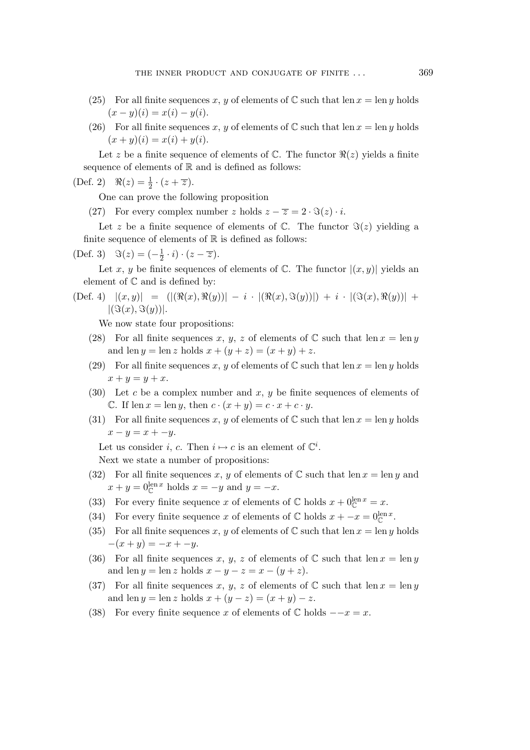- (25) For all finite sequences x, y of elements of  $\mathbb C$  such that len  $x = \text{len } y$  holds  $(x - y)(i) = x(i) - y(i).$
- (26) For all finite sequences x, y of elements of  $\mathbb C$  such that len  $x = \text{len } y$  holds  $(x + y)(i) = x(i) + y(i).$

Let z be a finite sequence of elements of  $\mathbb{C}$ . The functor  $\Re(z)$  yields a finite sequence of elements of  $\mathbb R$  and is defined as follows:

(Def. 2)  $\Re(z) = \frac{1}{2} \cdot (z + \overline{z}).$ 

One can prove the following proposition

(27) For every complex number z holds  $z - \overline{z} = 2 \cdot \Im(z) \cdot i$ .

Let z be a finite sequence of elements of  $\mathbb{C}$ . The functor  $\Im(z)$  yielding a finite sequence of elements of  $\mathbb R$  is defined as follows:

(Def. 3)  $\Im(z) = \left(-\frac{1}{2}\right)$  $(\frac{1}{2} \cdot i) \cdot (z - \overline{z}).$ 

Let x, y be finite sequences of elements of  $\mathbb{C}$ . The functor  $|(x,y)|$  yields an element of C and is defined by:

 $|\text{Def. 4)} |(x,y)| = (|(\Re(x), \Re(y))| - i \cdot |(\Re(x), \Im(y))| + i \cdot |(\Im(x), \Re(y))| +$  $|(\Im(x), \Im(y))|.$ 

We now state four propositions:

- (28) For all finite sequences x, y, z of elements of  $\mathbb C$  such that len  $x = \text{len } y$ and len  $y = \text{len } z$  holds  $x + (y + z) = (x + y) + z$ .
- (29) For all finite sequences x, y of elements of  $\mathbb C$  such that len  $x = \text{len } y$  holds  $x + y = y + x.$
- (30) Let c be a complex number and x, y be finite sequences of elements of C. If len  $x = \ln y$ , then  $c \cdot (x + y) = c \cdot x + c \cdot y$ .
- (31) For all finite sequences x, y of elements of  $\mathbb C$  such that len  $x = \text{len } y$  holds  $x - y = x - y.$

Let us consider *i*, *c*. Then  $i \mapsto c$  is an element of  $\mathbb{C}^i$ .

Next we state a number of propositions:

- (32) For all finite sequences x, y of elements of  $\mathbb C$  such that len  $x = \text{len } y$  and  $x + y = 0^{\text{len } x}_{\mathbb{C}}$  holds  $x = -y$  and  $y = -x$ .
- (33) For every finite sequence x of elements of  $\mathbb C$  holds  $x + 0^{\text{len } x}_{\mathbb C} = x$ .
- (34) For every finite sequence x of elements of  $\mathbb C$  holds  $x + -x = 0^{\text{len }x}_{\mathbb C}$ .
- (35) For all finite sequences x, y of elements of  $\mathbb C$  such that len  $x = \text{len } y$  holds  $-(x + y) = -x + -y.$
- (36) For all finite sequences x, y, z of elements of  $\mathbb C$  such that len  $x = \text{len } y$ and len  $y = \text{len } z$  holds  $x - y - z = x - (y + z)$ .
- (37) For all finite sequences x, y, z of elements of  $\mathbb C$  such that len  $x = \text{len } y$ and len  $y = \text{len } z$  holds  $x + (y - z) = (x + y) - z$ .
- (38) For every finite sequence x of elements of  $\mathbb C$  holds  $-x=x$ .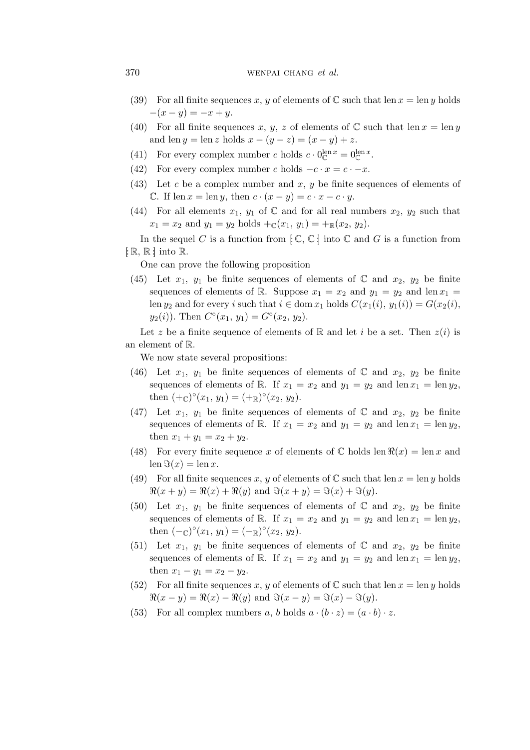### 370 wenpal change et al.

- (39) For all finite sequences x, y of elements of C such that len  $x = \text{len } y$  holds  $-(x - y) = -x + y.$
- (40) For all finite sequences x, y, z of elements of  $\mathbb C$  such that len  $x = \text{len } y$ and len  $y = \text{len } z$  holds  $x - (y - z) = (x - y) + z$ .
- (41) For every complex number c holds  $c \cdot 0^{\text{len } x}_{\mathbb{C}} = 0^{\text{len } x}_{\mathbb{C}}$ .
- (42) For every complex number c holds  $-c \cdot x = c \cdot -x$ .
- (43) Let c be a complex number and x, y be finite sequences of elements of C. If len  $x = \text{len } y$ , then  $c \cdot (x - y) = c \cdot x - c \cdot y$ .
- (44) For all elements  $x_1, y_1$  of C and for all real numbers  $x_2, y_2$  such that  $x_1 = x_2$  and  $y_1 = y_2$  holds  $+\mathbb{C}(x_1, y_1) = +\mathbb{R}(x_2, y_2)$ .

In the sequel C is a function from  $\{ \mathbb{C}, \mathbb{C} \}$  into  $\mathbb{C}$  and G is a function from  $\lbrack: \mathbb{R}, \mathbb{R} \rbrack$  into  $\mathbb{R}$ .

One can prove the following proposition

(45) Let  $x_1, y_1$  be finite sequences of elements of  $\mathbb C$  and  $x_2, y_2$  be finite sequences of elements of R. Suppose  $x_1 = x_2$  and  $y_1 = y_2$  and len  $x_1 =$ len  $y_2$  and for every i such that  $i \in \text{dom } x_1$  holds  $C(x_1(i), y_1(i)) = G(x_2(i),$  $y_2(i)$ ). Then  $C^{\circ}(x_1, y_1) = G^{\circ}(x_2, y_2)$ .

Let z be a finite sequence of elements of R and let i be a set. Then  $z(i)$  is an element of R.

We now state several propositions:

- (46) Let  $x_1, y_1$  be finite sequences of elements of  $\mathbb C$  and  $x_2, y_2$  be finite sequences of elements of R. If  $x_1 = x_2$  and  $y_1 = y_2$  and len  $x_1 = \text{len } y_2$ , then  $(+\infty)^{\circ}(x_1, y_1) = (+\mathbb{R})^{\circ}(x_2, y_2).$
- (47) Let  $x_1, y_1$  be finite sequences of elements of  $\mathbb C$  and  $x_2, y_2$  be finite sequences of elements of R. If  $x_1 = x_2$  and  $y_1 = y_2$  and len  $x_1 = \text{len } y_2$ , then  $x_1 + y_1 = x_2 + y_2$ .
- (48) For every finite sequence x of elements of  $\mathbb C$  holds len  $\Re(x) = \ln x$  and  $len \Im(x) = len x.$
- (49) For all finite sequences x, y of elements of C such that len  $x = \text{len } y$  holds  $\Re(x+y) = \Re(x) + \Re(y)$  and  $\Im(x+y) = \Im(x) + \Im(y)$ .
- (50) Let  $x_1, y_1$  be finite sequences of elements of  $\mathbb C$  and  $x_2, y_2$  be finite sequences of elements of R. If  $x_1 = x_2$  and  $y_1 = y_2$  and len  $x_1 = \text{len } y_2$ , then  $(-<sub>C</sub>)<sup>o</sup>(x<sub>1</sub>, y<sub>1</sub>) = (-<sub>R</sub>)<sup>o</sup>(x<sub>2</sub>, y<sub>2</sub>).$
- (51) Let  $x_1, y_1$  be finite sequences of elements of  $\mathbb C$  and  $x_2, y_2$  be finite sequences of elements of R. If  $x_1 = x_2$  and  $y_1 = y_2$  and len  $x_1 = \text{len } y_2$ , then  $x_1 - y_1 = x_2 - y_2$ .
- (52) For all finite sequences x, y of elements of  $\mathbb C$  such that len  $x = \text{len } y$  holds  $\Re(x-y) = \Re(x) - \Re(y)$  and  $\Im(x-y) = \Im(x) - \Im(y)$ .
- (53) For all complex numbers a, b holds  $a \cdot (b \cdot z) = (a \cdot b) \cdot z$ .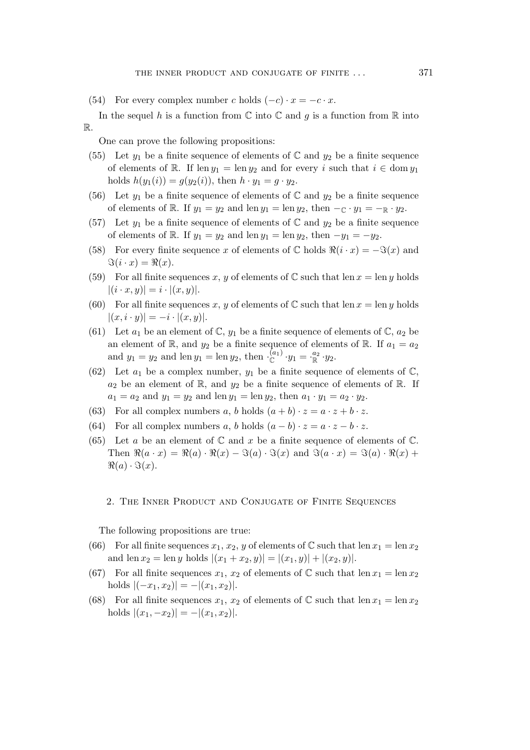(54) For every complex number c holds  $(-c) \cdot x = -c \cdot x$ .

In the sequel h is a function from  $\mathbb C$  into  $\mathbb C$  and g is a function from  $\mathbb R$  into R.

One can prove the following propositions:

- (55) Let  $y_1$  be a finite sequence of elements of C and  $y_2$  be a finite sequence of elements of R. If  $len y_1 = len y_2$  and for every i such that  $i \in dom y_1$ holds  $h(y_1(i)) = g(y_2(i))$ , then  $h \cdot y_1 = g \cdot y_2$ .
- (56) Let  $y_1$  be a finite sequence of elements of  $\mathbb C$  and  $y_2$  be a finite sequence of elements of R. If  $y_1 = y_2$  and len  $y_1 = \text{len } y_2$ , then  $-\text{r} \cdot y_1 = -\text{r} \cdot y_2$ .
- (57) Let  $y_1$  be a finite sequence of elements of C and  $y_2$  be a finite sequence of elements of R. If  $y_1 = y_2$  and len  $y_1 = \text{len } y_2$ , then  $-y_1 = -y_2$ .
- (58) For every finite sequence x of elements of  $\mathbb C$  holds  $\Re(i \cdot x) = -\Im(x)$  and  $\Im(i \cdot x) = \Re(x).$
- (59) For all finite sequences x, y of elements of  $\mathbb C$  such that len  $x = \text{len } y$  holds  $|(i \cdot x, y)| = i \cdot |(x, y)|.$
- (60) For all finite sequences x, y of elements of  $\mathbb C$  such that len  $x = \text{len } y$  holds  $|(x,i\cdot y)| = -i\cdot |(x,y)|.$
- (61) Let  $a_1$  be an element of  $\mathbb{C}$ ,  $y_1$  be a finite sequence of elements of  $\mathbb{C}$ ,  $a_2$  be an element of R, and  $y_2$  be a finite sequence of elements of R. If  $a_1 = a_2$ and  $y_1 = y_2$  and len  $y_1 = \text{len } y_2$ , then  $\cdot \mathcal{L}^{(a_1)} \cdot y_1 = \cdot \mathcal{L}^{a_2} \cdot y_2$ .
- (62) Let  $a_1$  be a complex number,  $y_1$  be a finite sequence of elements of  $\mathbb{C}$ ,  $a_2$  be an element of  $\mathbb{R}$ , and  $y_2$  be a finite sequence of elements of  $\mathbb{R}$ . If  $a_1 = a_2$  and  $y_1 = y_2$  and len  $y_1 = \text{len } y_2$ , then  $a_1 \cdot y_1 = a_2 \cdot y_2$ .
- (63) For all complex numbers a, b holds  $(a + b) \cdot z = a \cdot z + b \cdot z$ .
- (64) For all complex numbers a, b holds  $(a b) \cdot z = a \cdot z b \cdot z$ .
- (65) Let a be an element of  $\mathbb C$  and  $x$  be a finite sequence of elements of  $\mathbb C$ . Then  $\Re(a \cdot x) = \Re(a) \cdot \Re(x) - \Im(a) \cdot \Im(x)$  and  $\Im(a \cdot x) = \Im(a) \cdot \Re(x) + \Im(a) \cdot \Im(a)$  $\Re(a) \cdot \Im(x)$ .

## 2. The Inner Product and Conjugate of Finite Sequences

The following propositions are true:

- (66) For all finite sequences  $x_1, x_2, y$  of elements of C such that len  $x_1 = \text{len } x_2$ and len  $x_2 = \text{len } y$  holds  $|(x_1 + x_2, y)| = |(x_1, y)| + |(x_2, y)|$ .
- (67) For all finite sequences  $x_1, x_2$  of elements of C such that  $\text{len } x_1 = \text{len } x_2$ holds  $|(-x_1,x_2)| = -|(x_1,x_2)|$ .
- (68) For all finite sequences  $x_1, x_2$  of elements of C such that  $\text{len } x_1 = \text{len } x_2$ holds  $|(x_1, -x_2)| = -|(x_1, x_2)|$ .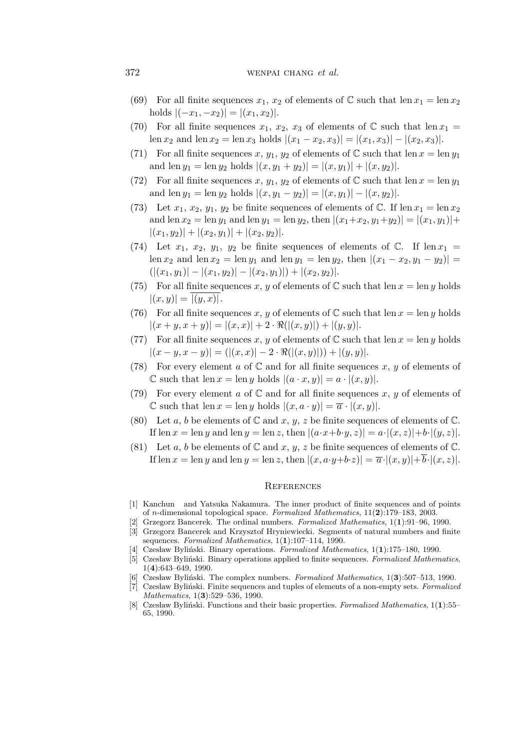## 372 wenpal change et al.

- (69) For all finite sequences  $x_1, x_2$  of elements of C such that len  $x_1 = \text{len } x_2$ holds  $|(-x_1, -x_2)| = |(x_1, x_2)|$ .
- (70) For all finite sequences  $x_1, x_2, x_3$  of elements of  $\mathbb C$  such that len  $x_1 =$ len  $x_2$  and len  $x_2 = \text{len } x_3$  holds  $|(x_1 - x_2, x_3)| = |(x_1, x_3)| - |(x_2, x_3)|$ .
- (71) For all finite sequences x,  $y_1, y_2$  of elements of C such that len  $x = \text{len } y_1$ and len  $y_1 = \text{len } y_2$  holds  $|(x, y_1 + y_2)| = |(x, y_1)| + |(x, y_2)|$ .
- (72) For all finite sequences x,  $y_1, y_2$  of elements of C such that len  $x = \text{len } y_1$ and len  $y_1 = \text{len } y_2$  holds  $|(x, y_1 - y_2)| = |(x, y_1)| - |(x, y_2)|$ .
- (73) Let  $x_1, x_2, y_1, y_2$  be finite sequences of elements of C. If  $\text{len } x_1 = \text{len } x_2$ and len  $x_2 = \text{len } y_1$  and len  $y_1 = \text{len } y_2$ , then  $|(x_1+x_2,y_1+y_2)| = |(x_1,y_1)| +$  $|(x_1,y_2)| + |(x_2,y_1)| + |(x_2,y_2)|.$
- (74) Let  $x_1, x_2, y_1, y_2$  be finite sequences of elements of C. If  $\text{len } x_1 =$ len  $x_2$  and len  $y_1$  and len  $y_1 = \ln y_2$ , then  $|(x_1 - x_2, y_1 - y_2)|$  $(|(x_1,y_1)|-|(x_1,y_2)|-|(x_2,y_1)|)+|(x_2,y_2)|.$
- (75) For all finite sequences x, y of elements of  $\mathbb C$  such that len  $x = \text{len } y$  holds  $|(x, y)| = |(y, x)|$ .
- (76) For all finite sequences x, y of elements of  $\mathbb C$  such that len  $x = \text{len } y$  holds  $|(x + y, x + y)| = |(x, x)| + 2 \cdot \Re(|(x, y)|) + |(y, y)|.$
- (77) For all finite sequences x, y of elements of  $\mathbb C$  such that len  $x = \text{len } y$  holds  $|(x - y, x - y)| = (|(x, x)| - 2 \cdot \Re(|(x, y)|)) + |(y, y)|.$
- (78) For every element a of  $\mathbb C$  and for all finite sequences x, y of elements of C such that len  $x = \text{len } y$  holds  $|(a \cdot x, y)| = a \cdot |(x, y)|$ .
- (79) For every element a of  $\mathbb C$  and for all finite sequences x, y of elements of  $\mathbb C$  such that len  $x = \text{len } y$  holds  $|(x, a \cdot y)| = \overline{a} \cdot |(x, y)|$ .
- (80) Let a, b be elements of  $\mathbb C$  and  $x, y, z$  be finite sequences of elements of  $\mathbb C$ . If len  $x = \text{len } y$  and len  $y = \text{len } z$ , then  $|(a \cdot x + b \cdot y, z)| = a \cdot |(x, z)| + b \cdot |(y, z)|$ .
- (81) Let a, b be elements of  $\mathbb C$  and  $x, y, z$  be finite sequences of elements of  $\mathbb C$ . If len  $x = \text{len } y$  and len  $y = \text{len } z$ , then  $|(x, a \cdot y + b \cdot z)| = \overline{a} \cdot |(x, y)| + \overline{b} \cdot |(x, z)|$ .

#### **REFERENCES**

- [1] Kanchun and Yatsuka Nakamura. The inner product of finite sequences and of points of n-dimensional topological space. Formalized Mathematics,  $11(2):179-183$ , 2003.
- [2] Grzegorz Bancerek. The ordinal numbers. Formalized Mathematics, 1(1):91–96, 1990.
- [3] Grzegorz Bancerek and Krzysztof Hryniewiecki. Segments of natural numbers and finite sequences. Formalized Mathematics, 1(1):107-114, 1990.
- Czesław Byliński. Binary operations. Formalized Mathematics,  $1(1):175-180$ , 1990.
- [5] Czesław Byliński. Binary operations applied to finite sequences. Formalized Mathematics, 1(4):643–649, 1990.
- [6] Czesław Byliński. The complex numbers. Formalized Mathematics,  $1(3)$ :507–513, 1990.
- [7] Czesław Byliński. Finite sequences and tuples of elements of a non-empty sets. Formalized Mathematics, 1(**3**):529–536, 1990.
- [8] Czesław Byliński. Functions and their basic properties. Formalized Mathematics,  $1(1):$ 55– 65, 1990.